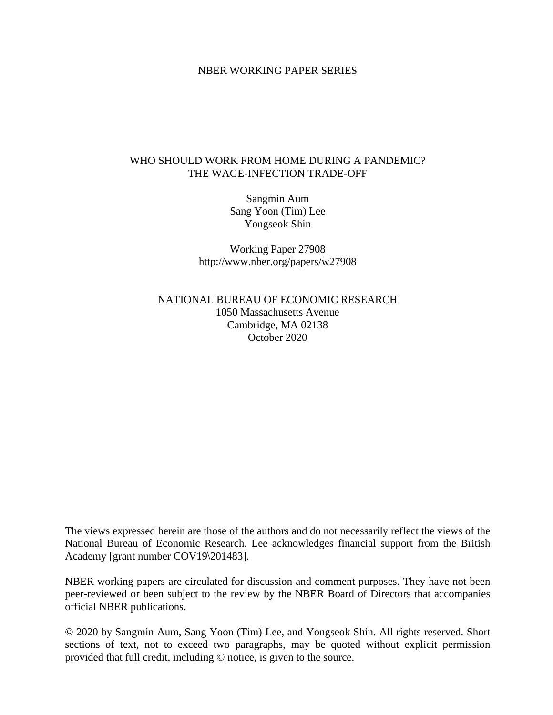### NBER WORKING PAPER SERIES

### WHO SHOULD WORK FROM HOME DURING A PANDEMIC? THE WAGE-INFECTION TRADE-OFF

Sangmin Aum Sang Yoon (Tim) Lee Yongseok Shin

Working Paper 27908 http://www.nber.org/papers/w27908

NATIONAL BUREAU OF ECONOMIC RESEARCH 1050 Massachusetts Avenue Cambridge, MA 02138 October 2020

The views expressed herein are those of the authors and do not necessarily reflect the views of the National Bureau of Economic Research. Lee acknowledges financial support from the British Academy [grant number COV19\201483].

NBER working papers are circulated for discussion and comment purposes. They have not been peer-reviewed or been subject to the review by the NBER Board of Directors that accompanies official NBER publications.

© 2020 by Sangmin Aum, Sang Yoon (Tim) Lee, and Yongseok Shin. All rights reserved. Short sections of text, not to exceed two paragraphs, may be quoted without explicit permission provided that full credit, including © notice, is given to the source.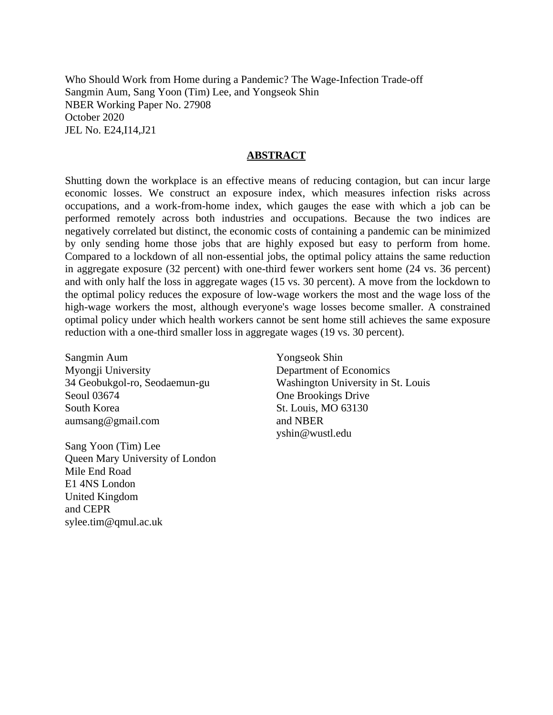Who Should Work from Home during a Pandemic? The Wage-Infection Trade-off Sangmin Aum, Sang Yoon (Tim) Lee, and Yongseok Shin NBER Working Paper No. 27908 October 2020 JEL No. E24,I14,J21

### **ABSTRACT**

Shutting down the workplace is an effective means of reducing contagion, but can incur large economic losses. We construct an exposure index, which measures infection risks across occupations, and a work-from-home index, which gauges the ease with which a job can be performed remotely across both industries and occupations. Because the two indices are negatively correlated but distinct, the economic costs of containing a pandemic can be minimized by only sending home those jobs that are highly exposed but easy to perform from home. Compared to a lockdown of all non-essential jobs, the optimal policy attains the same reduction in aggregate exposure (32 percent) with one-third fewer workers sent home (24 vs. 36 percent) and with only half the loss in aggregate wages (15 vs. 30 percent). A move from the lockdown to the optimal policy reduces the exposure of low-wage workers the most and the wage loss of the high-wage workers the most, although everyone's wage losses become smaller. A constrained optimal policy under which health workers cannot be sent home still achieves the same exposure reduction with a one-third smaller loss in aggregate wages (19 vs. 30 percent).

Sangmin Aum Myongji University 34 Geobukgol-ro, Seodaemun-gu Seoul 03674 South Korea aumsang@gmail.com

Sang Yoon (Tim) Lee Queen Mary University of London Mile End Road E1 4NS London United Kingdom and CEPR sylee.tim@qmul.ac.uk

Yongseok Shin Department of Economics Washington University in St. Louis One Brookings Drive St. Louis, MO 63130 and NBER yshin@wustl.edu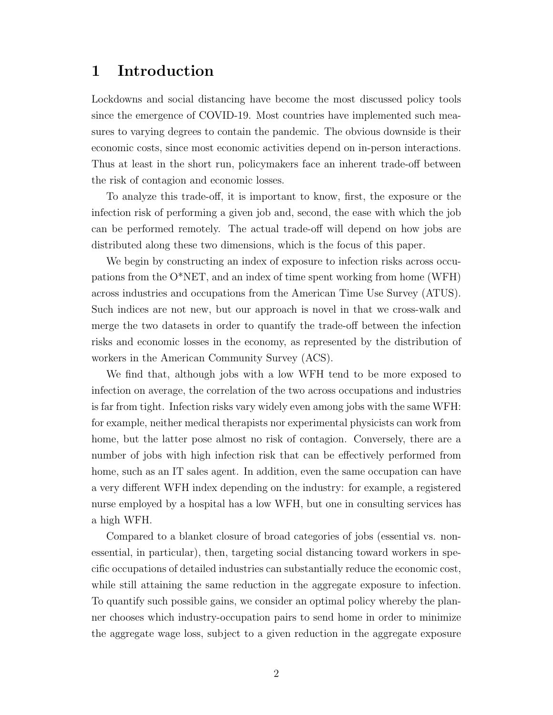## 1 Introduction

Lockdowns and social distancing have become the most discussed policy tools since the emergence of COVID-19. Most countries have implemented such measures to varying degrees to contain the pandemic. The obvious downside is their economic costs, since most economic activities depend on in-person interactions. Thus at least in the short run, policymakers face an inherent trade-off between the risk of contagion and economic losses.

To analyze this trade-off, it is important to know, first, the exposure or the infection risk of performing a given job and, second, the ease with which the job can be performed remotely. The actual trade-off will depend on how jobs are distributed along these two dimensions, which is the focus of this paper.

We begin by constructing an index of exposure to infection risks across occupations from the O\*NET, and an index of time spent working from home (WFH) across industries and occupations from the American Time Use Survey (ATUS). Such indices are not new, but our approach is novel in that we cross-walk and merge the two datasets in order to quantify the trade-off between the infection risks and economic losses in the economy, as represented by the distribution of workers in the American Community Survey (ACS).

We find that, although jobs with a low WFH tend to be more exposed to infection on average, the correlation of the two across occupations and industries is far from tight. Infection risks vary widely even among jobs with the same WFH: for example, neither medical therapists nor experimental physicists can work from home, but the latter pose almost no risk of contagion. Conversely, there are a number of jobs with high infection risk that can be effectively performed from home, such as an IT sales agent. In addition, even the same occupation can have a very different WFH index depending on the industry: for example, a registered nurse employed by a hospital has a low WFH, but one in consulting services has a high WFH.

Compared to a blanket closure of broad categories of jobs (essential vs. nonessential, in particular), then, targeting social distancing toward workers in specific occupations of detailed industries can substantially reduce the economic cost, while still attaining the same reduction in the aggregate exposure to infection. To quantify such possible gains, we consider an optimal policy whereby the planner chooses which industry-occupation pairs to send home in order to minimize the aggregate wage loss, subject to a given reduction in the aggregate exposure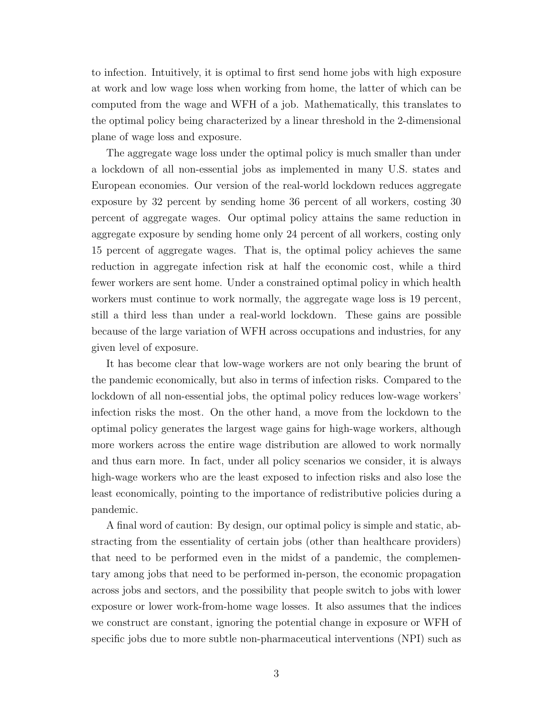to infection. Intuitively, it is optimal to first send home jobs with high exposure at work and low wage loss when working from home, the latter of which can be computed from the wage and WFH of a job. Mathematically, this translates to the optimal policy being characterized by a linear threshold in the 2-dimensional plane of wage loss and exposure.

The aggregate wage loss under the optimal policy is much smaller than under a lockdown of all non-essential jobs as implemented in many U.S. states and European economies. Our version of the real-world lockdown reduces aggregate exposure by 32 percent by sending home 36 percent of all workers, costing 30 percent of aggregate wages. Our optimal policy attains the same reduction in aggregate exposure by sending home only 24 percent of all workers, costing only 15 percent of aggregate wages. That is, the optimal policy achieves the same reduction in aggregate infection risk at half the economic cost, while a third fewer workers are sent home. Under a constrained optimal policy in which health workers must continue to work normally, the aggregate wage loss is 19 percent, still a third less than under a real-world lockdown. These gains are possible because of the large variation of WFH across occupations and industries, for any given level of exposure.

It has become clear that low-wage workers are not only bearing the brunt of the pandemic economically, but also in terms of infection risks. Compared to the lockdown of all non-essential jobs, the optimal policy reduces low-wage workers' infection risks the most. On the other hand, a move from the lockdown to the optimal policy generates the largest wage gains for high-wage workers, although more workers across the entire wage distribution are allowed to work normally and thus earn more. In fact, under all policy scenarios we consider, it is always high-wage workers who are the least exposed to infection risks and also lose the least economically, pointing to the importance of redistributive policies during a pandemic.

A final word of caution: By design, our optimal policy is simple and static, abstracting from the essentiality of certain jobs (other than healthcare providers) that need to be performed even in the midst of a pandemic, the complementary among jobs that need to be performed in-person, the economic propagation across jobs and sectors, and the possibility that people switch to jobs with lower exposure or lower work-from-home wage losses. It also assumes that the indices we construct are constant, ignoring the potential change in exposure or WFH of specific jobs due to more subtle non-pharmaceutical interventions (NPI) such as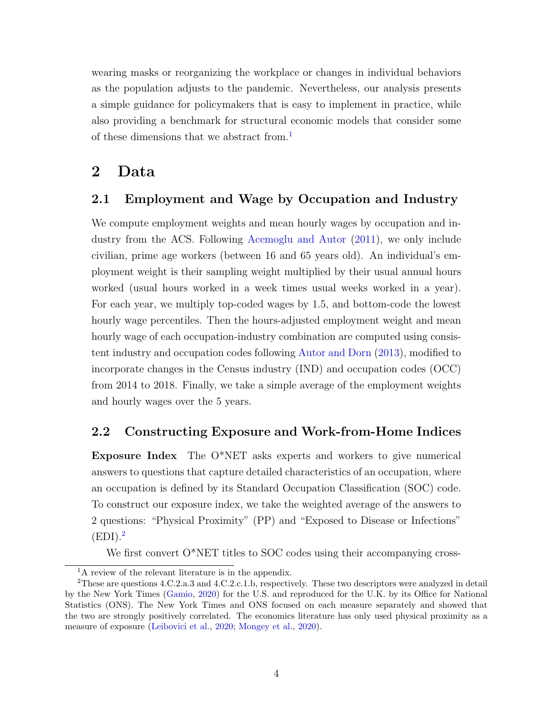wearing masks or reorganizing the workplace or changes in individual behaviors as the population adjusts to the pandemic. Nevertheless, our analysis presents a simple guidance for policymakers that is easy to implement in practice, while also providing a benchmark for structural economic models that consider some of these dimensions that we abstract from.<sup>[1](#page-4-0)</sup>

## 2 Data

### 2.1 Employment and Wage by Occupation and Industry

We compute employment weights and mean hourly wages by occupation and industry from the ACS. Following [Acemoglu and Autor](#page-16-0) [\(2011\)](#page-16-0), we only include civilian, prime age workers (between 16 and 65 years old). An individual's employment weight is their sampling weight multiplied by their usual annual hours worked (usual hours worked in a week times usual weeks worked in a year). For each year, we multiply top-coded wages by 1.5, and bottom-code the lowest hourly wage percentiles. Then the hours-adjusted employment weight and mean hourly wage of each occupation-industry combination are computed using consistent industry and occupation codes following [Autor and Dorn](#page-16-1) [\(2013\)](#page-16-1), modified to incorporate changes in the Census industry (IND) and occupation codes (OCC) from 2014 to 2018. Finally, we take a simple average of the employment weights and hourly wages over the 5 years.

### 2.2 Constructing Exposure and Work-from-Home Indices

Exposure Index The O\*NET asks experts and workers to give numerical answers to questions that capture detailed characteristics of an occupation, where an occupation is defined by its Standard Occupation Classification (SOC) code. To construct our exposure index, we take the weighted average of the answers to 2 questions: "Physical Proximity" (PP) and "Exposed to Disease or Infections"  $(EDI).<sup>2</sup>$  $(EDI).<sup>2</sup>$  $(EDI).<sup>2</sup>$ 

We first convert  $O^*NET$  titles to SOC codes using their accompanying cross-

<span id="page-4-1"></span><span id="page-4-0"></span><sup>&</sup>lt;sup>1</sup>A review of the relevant literature is in the appendix.

<sup>2</sup>These are questions 4.C.2.a.3 and 4.C.2.c.1.b, respectively. These two descriptors were analyzed in detail by the New York Times [\(Gamio,](#page-17-0) [2020\)](#page-17-0) for the U.S. and reproduced for the U.K. by its Office for National Statistics (ONS). The New York Times and ONS focused on each measure separately and showed that the two are strongly positively correlated. The economics literature has only used physical proximity as a measure of exposure [\(Leibovici et al.,](#page-17-1) [2020;](#page-17-1) [Mongey et al.,](#page-17-2) [2020\)](#page-17-2).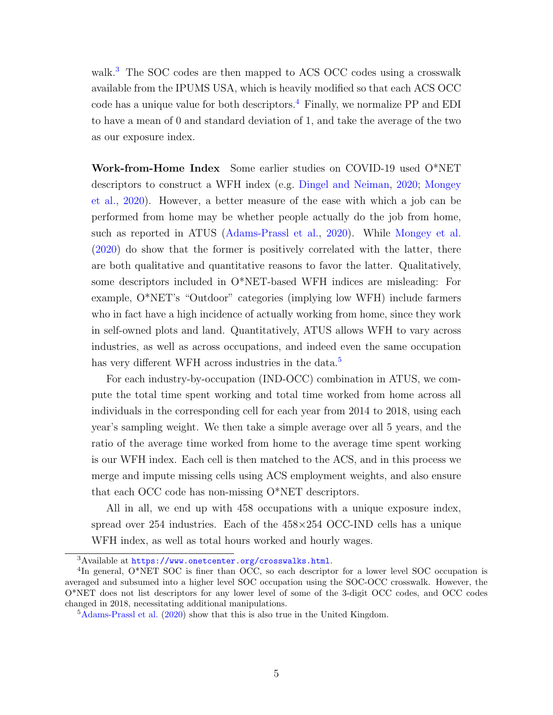walk.<sup>[3](#page-5-0)</sup> The SOC codes are then mapped to ACS OCC codes using a crosswalk available from the IPUMS USA, which is heavily modified so that each ACS OCC code has a unique value for both descriptors.<sup>[4](#page-5-1)</sup> Finally, we normalize  $PP$  and  $EDI$ to have a mean of 0 and standard deviation of 1, and take the average of the two as our exposure index.

Work-from-Home Index Some earlier studies on COVID-19 used O\*NET descriptors to construct a WFH index (e.g. [Dingel and Neiman,](#page-17-3) [2020;](#page-17-3) [Mongey](#page-17-2) [et al.,](#page-17-2) [2020\)](#page-17-2). However, a better measure of the ease with which a job can be performed from home may be whether people actually do the job from home, such as reported in ATUS [\(Adams-Prassl et al.,](#page-16-2) [2020\)](#page-16-2). While [Mongey et al.](#page-17-2) [\(2020\)](#page-17-2) do show that the former is positively correlated with the latter, there are both qualitative and quantitative reasons to favor the latter. Qualitatively, some descriptors included in O\*NET-based WFH indices are misleading: For example, O\*NET's "Outdoor" categories (implying low WFH) include farmers who in fact have a high incidence of actually working from home, since they work in self-owned plots and land. Quantitatively, ATUS allows WFH to vary across industries, as well as across occupations, and indeed even the same occupation has very different WFH across industries in the data.<sup>[5](#page-5-2)</sup>

For each industry-by-occupation (IND-OCC) combination in ATUS, we compute the total time spent working and total time worked from home across all individuals in the corresponding cell for each year from 2014 to 2018, using each year's sampling weight. We then take a simple average over all 5 years, and the ratio of the average time worked from home to the average time spent working is our WFH index. Each cell is then matched to the ACS, and in this process we merge and impute missing cells using ACS employment weights, and also ensure that each OCC code has non-missing O\*NET descriptors.

All in all, we end up with 458 occupations with a unique exposure index, spread over 254 industries. Each of the 458×254 OCC-IND cells has a unique WFH index, as well as total hours worked and hourly wages.

<span id="page-5-1"></span><span id="page-5-0"></span><sup>3</sup>Available at <https://www.onetcenter.org/crosswalks.html>.

<sup>&</sup>lt;sup>4</sup>In general, O\*NET SOC is finer than OCC, so each descriptor for a lower level SOC occupation is averaged and subsumed into a higher level SOC occupation using the SOC-OCC crosswalk. However, the O\*NET does not list descriptors for any lower level of some of the 3-digit OCC codes, and OCC codes changed in 2018, necessitating additional manipulations.

<span id="page-5-2"></span><sup>5</sup>[Adams-Prassl et al.](#page-16-2) [\(2020\)](#page-16-2) show that this is also true in the United Kingdom.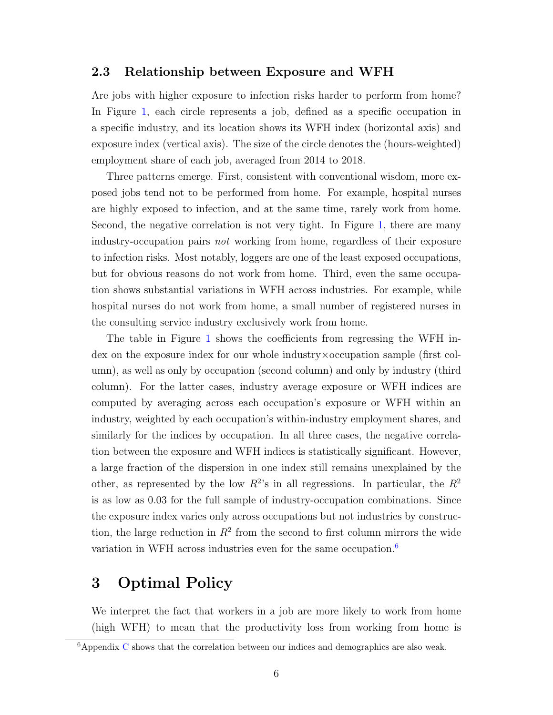### 2.3 Relationship between Exposure and WFH

Are jobs with higher exposure to infection risks harder to perform from home? In Figure [1,](#page-7-0) each circle represents a job, defined as a specific occupation in a specific industry, and its location shows its WFH index (horizontal axis) and exposure index (vertical axis). The size of the circle denotes the (hours-weighted) employment share of each job, averaged from 2014 to 2018.

Three patterns emerge. First, consistent with conventional wisdom, more exposed jobs tend not to be performed from home. For example, hospital nurses are highly exposed to infection, and at the same time, rarely work from home. Second, the negative correlation is not very tight. In Figure [1,](#page-7-0) there are many industry-occupation pairs not working from home, regardless of their exposure to infection risks. Most notably, loggers are one of the least exposed occupations, but for obvious reasons do not work from home. Third, even the same occupation shows substantial variations in WFH across industries. For example, while hospital nurses do not work from home, a small number of registered nurses in the consulting service industry exclusively work from home.

The table in Figure [1](#page-7-0) shows the coefficients from regressing the WFH index on the exposure index for our whole industry×occupation sample (first column), as well as only by occupation (second column) and only by industry (third column). For the latter cases, industry average exposure or WFH indices are computed by averaging across each occupation's exposure or WFH within an industry, weighted by each occupation's within-industry employment shares, and similarly for the indices by occupation. In all three cases, the negative correlation between the exposure and WFH indices is statistically significant. However, a large fraction of the dispersion in one index still remains unexplained by the other, as represented by the low  $R^2$ 's in all regressions. In particular, the  $R^2$ is as low as 0.03 for the full sample of industry-occupation combinations. Since the exposure index varies only across occupations but not industries by construction, the large reduction in  $R^2$  from the second to first column mirrors the wide variation in WFH across industries even for the same occupation.[6](#page-6-0)

## 3 Optimal Policy

We interpret the fact that workers in a job are more likely to work from home (high WFH) to mean that the productivity loss from working from home is

<span id="page-6-0"></span> $6$ Appendix [C](#page-20-0) shows that the correlation between our indices and demographics are also weak.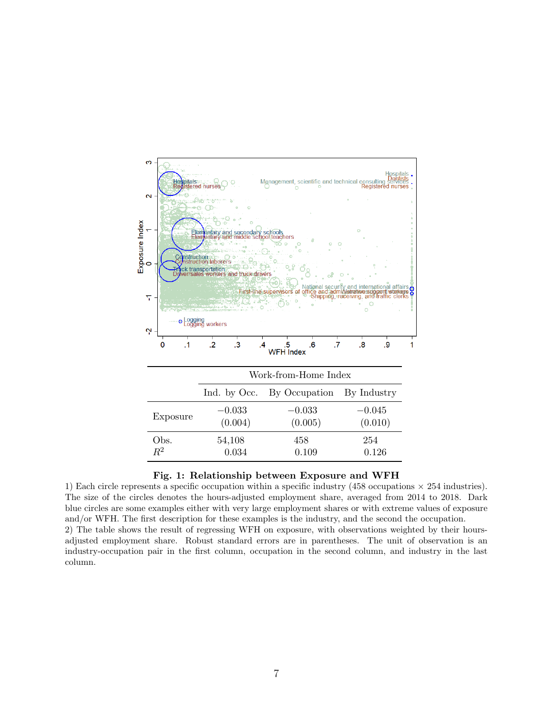

#### <span id="page-7-0"></span>Fig. 1: Relationship between Exposure and WFH

1) Each circle represents a specific occupation within a specific industry (458 occupations  $\times$  254 industries). The size of the circles denotes the hours-adjusted employment share, averaged from 2014 to 2018. Dark blue circles are some examples either with very large employment shares or with extreme values of exposure and/or WFH. The first description for these examples is the industry, and the second the occupation. 2) The table shows the result of regressing WFH on exposure, with observations weighted by their hours-

adjusted employment share. Robust standard errors are in parentheses. The unit of observation is an industry-occupation pair in the first column, occupation in the second column, and industry in the last column.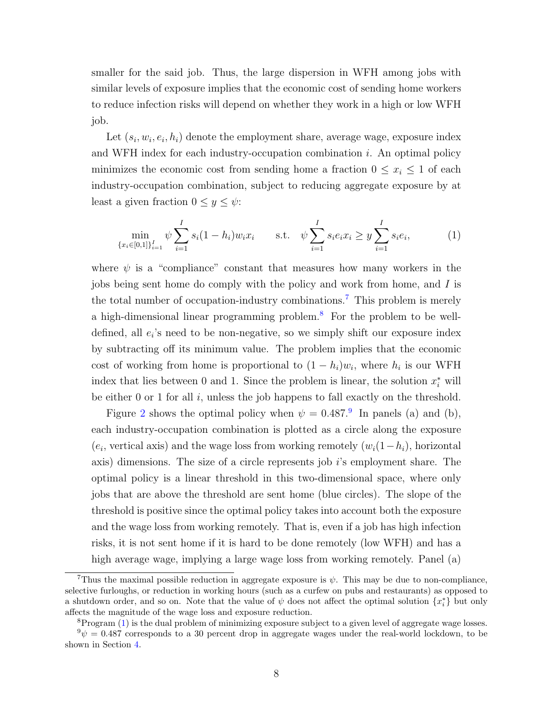smaller for the said job. Thus, the large dispersion in WFH among jobs with similar levels of exposure implies that the economic cost of sending home workers to reduce infection risks will depend on whether they work in a high or low WFH job.

Let  $(s_i, w_i, e_i, h_i)$  denote the employment share, average wage, exposure index and WFH index for each industry-occupation combination i. An optimal policy minimizes the economic cost from sending home a fraction  $0 \leq x_i \leq 1$  of each industry-occupation combination, subject to reducing aggregate exposure by at least a given fraction  $0 \leq y \leq \psi$ :

<span id="page-8-3"></span>
$$
\min_{\{x_i \in [0,1]\}_{i=1}^I} \psi \sum_{i=1}^I s_i (1 - h_i) w_i x_i \qquad \text{s.t.} \quad \psi \sum_{i=1}^I s_i e_i x_i \ge y \sum_{i=1}^I s_i e_i,\tag{1}
$$

where  $\psi$  is a "compliance" constant that measures how many workers in the jobs being sent home do comply with the policy and work from home, and I is the total number of occupation-industry combinations.[7](#page-8-0) This problem is merely a high-dimensional linear programming problem.[8](#page-8-1) For the problem to be welldefined, all  $e_i$ 's need to be non-negative, so we simply shift our exposure index by subtracting off its minimum value. The problem implies that the economic cost of working from home is proportional to  $(1-h_i)w_i$ , where  $h_i$  is our WFH index that lies between 0 and 1. Since the problem is linear, the solution  $x_i^*$  will be either  $0$  or  $1$  for all  $i$ , unless the job happens to fall exactly on the threshold.

Figure [2](#page-9-0) shows the optimal policy when  $\psi = 0.487$ .<sup>[9](#page-8-2)</sup> In panels (a) and (b), each industry-occupation combination is plotted as a circle along the exposure  $(e_i,$  vertical axis) and the wage loss from working remotely  $(w_i(1-h_i),$  horizontal axis) dimensions. The size of a circle represents job  $i$ 's employment share. The optimal policy is a linear threshold in this two-dimensional space, where only jobs that are above the threshold are sent home (blue circles). The slope of the threshold is positive since the optimal policy takes into account both the exposure and the wage loss from working remotely. That is, even if a job has high infection risks, it is not sent home if it is hard to be done remotely (low WFH) and has a high average wage, implying a large wage loss from working remotely. Panel (a)

<span id="page-8-0"></span><sup>&</sup>lt;sup>7</sup>Thus the maximal possible reduction in aggregate exposure is  $\psi$ . This may be due to non-compliance, selective furloughs, or reduction in working hours (such as a curfew on pubs and restaurants) as opposed to a shutdown order, and so on. Note that the value of  $\psi$  does not affect the optimal solution  $\{x_i^*\}$  but only affects the magnitude of the wage loss and exposure reduction.

<span id="page-8-2"></span><span id="page-8-1"></span> ${}^{8}$ Program  $(1)$  is the dual problem of minimizing exposure subject to a given level of aggregate wage losses.

 $9\psi = 0.487$  corresponds to a 30 percent drop in aggregate wages under the real-world lockdown, to be shown in Section [4.](#page-10-0)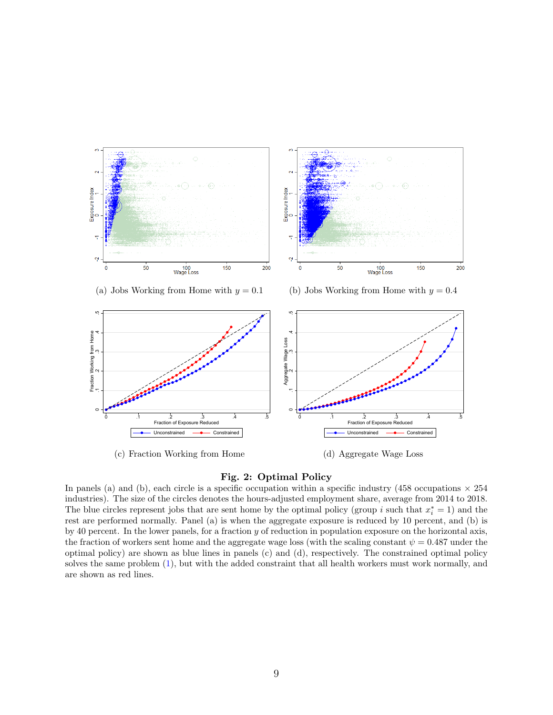

#### <span id="page-9-0"></span>Fig. 2: Optimal Policy

In panels (a) and (b), each circle is a specific occupation within a specific industry (458 occupations  $\times$  254 industries). The size of the circles denotes the hours-adjusted employment share, average from 2014 to 2018. The blue circles represent jobs that are sent home by the optimal policy (group i such that  $x_i^* = 1$ ) and the rest are performed normally. Panel (a) is when the aggregate exposure is reduced by 10 percent, and (b) is by 40 percent. In the lower panels, for a fraction y of reduction in population exposure on the horizontal axis, the fraction of workers sent home and the aggregate wage loss (with the scaling constant  $\psi = 0.487$  under the optimal policy) are shown as blue lines in panels (c) and (d), respectively. The constrained optimal policy solves the same problem [\(1\)](#page-8-3), but with the added constraint that all health workers must work normally, and are shown as red lines.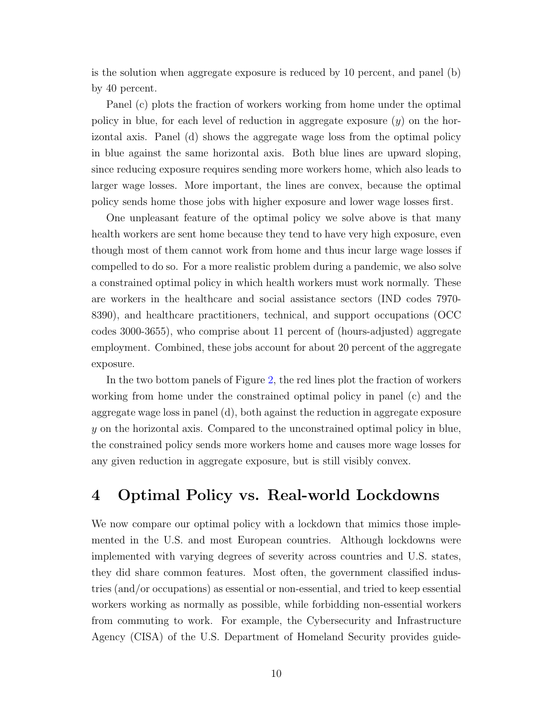is the solution when aggregate exposure is reduced by 10 percent, and panel (b) by 40 percent.

Panel (c) plots the fraction of workers working from home under the optimal policy in blue, for each level of reduction in aggregate exposure  $(y)$  on the horizontal axis. Panel (d) shows the aggregate wage loss from the optimal policy in blue against the same horizontal axis. Both blue lines are upward sloping, since reducing exposure requires sending more workers home, which also leads to larger wage losses. More important, the lines are convex, because the optimal policy sends home those jobs with higher exposure and lower wage losses first.

One unpleasant feature of the optimal policy we solve above is that many health workers are sent home because they tend to have very high exposure, even though most of them cannot work from home and thus incur large wage losses if compelled to do so. For a more realistic problem during a pandemic, we also solve a constrained optimal policy in which health workers must work normally. These are workers in the healthcare and social assistance sectors (IND codes 7970- 8390), and healthcare practitioners, technical, and support occupations (OCC codes 3000-3655), who comprise about 11 percent of (hours-adjusted) aggregate employment. Combined, these jobs account for about 20 percent of the aggregate exposure.

In the two bottom panels of Figure [2,](#page-9-0) the red lines plot the fraction of workers working from home under the constrained optimal policy in panel (c) and the aggregate wage loss in panel (d), both against the reduction in aggregate exposure y on the horizontal axis. Compared to the unconstrained optimal policy in blue, the constrained policy sends more workers home and causes more wage losses for any given reduction in aggregate exposure, but is still visibly convex.

### <span id="page-10-0"></span>4 Optimal Policy vs. Real-world Lockdowns

We now compare our optimal policy with a lockdown that mimics those implemented in the U.S. and most European countries. Although lockdowns were implemented with varying degrees of severity across countries and U.S. states, they did share common features. Most often, the government classified industries (and/or occupations) as essential or non-essential, and tried to keep essential workers working as normally as possible, while forbidding non-essential workers from commuting to work. For example, the Cybersecurity and Infrastructure Agency (CISA) of the U.S. Department of Homeland Security provides guide-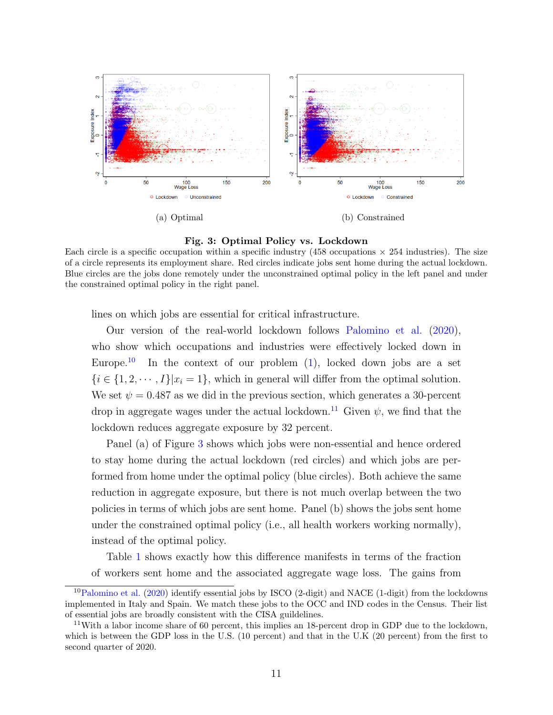

<span id="page-11-2"></span>Fig. 3: Optimal Policy vs. Lockdown

Each circle is a specific occupation within a specific industry (458 occupations  $\times$  254 industries). The size of a circle represents its employment share. Red circles indicate jobs sent home during the actual lockdown. Blue circles are the jobs done remotely under the unconstrained optimal policy in the left panel and under the constrained optimal policy in the right panel.

lines on which jobs are essential for critical infrastructure.

Our version of the real-world lockdown follows [Palomino et al.](#page-17-4) [\(2020\)](#page-17-4), who show which occupations and industries were effectively locked down in Europe.<sup>[10](#page-11-0)</sup> In the context of our problem  $(1)$ , locked down jobs are a set  $\{i \in \{1, 2, \dots, I\} | x_i = 1\}$ , which in general will differ from the optimal solution. We set  $\psi = 0.487$  as we did in the previous section, which generates a 30-percent drop in aggregate wages under the actual lockdown.<sup>[11](#page-11-1)</sup> Given  $\psi$ , we find that the lockdown reduces aggregate exposure by 32 percent.

Panel (a) of Figure [3](#page-11-2) shows which jobs were non-essential and hence ordered to stay home during the actual lockdown (red circles) and which jobs are performed from home under the optimal policy (blue circles). Both achieve the same reduction in aggregate exposure, but there is not much overlap between the two policies in terms of which jobs are sent home. Panel (b) shows the jobs sent home under the constrained optimal policy (i.e., all health workers working normally), instead of the optimal policy.

Table [1](#page-12-0) shows exactly how this difference manifests in terms of the fraction of workers sent home and the associated aggregate wage loss. The gains from

<span id="page-11-0"></span><sup>&</sup>lt;sup>10</sup>[Palomino et al.](#page-17-4) [\(2020\)](#page-17-4) identify essential jobs by ISCO (2-digit) and NACE (1-digit) from the lockdowns implemented in Italy and Spain. We match these jobs to the OCC and IND codes in the Census. Their list of essential jobs are broadly consistent with the CISA guildelines.

<span id="page-11-1"></span><sup>&</sup>lt;sup>11</sup>With a labor income share of 60 percent, this implies an 18-percent drop in GDP due to the lockdown, which is between the GDP loss in the U.S. (10 percent) and that in the U.K (20 percent) from the first to second quarter of 2020.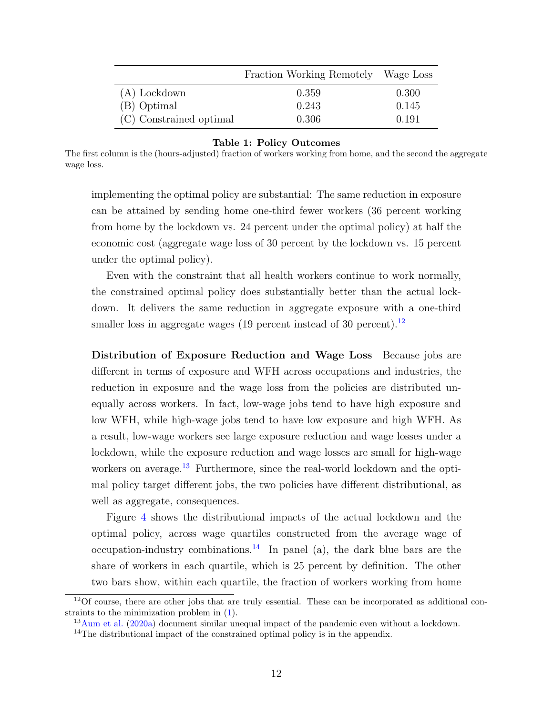|                         | Fraction Working Remotely Wage Loss |       |
|-------------------------|-------------------------------------|-------|
| $(A)$ Lockdown          | 0.359                               | 0.300 |
| (B) Optimal             | 0.243                               | 0.145 |
| (C) Constrained optimal | 0.306                               | 0.191 |

#### <span id="page-12-0"></span>Table 1: Policy Outcomes

The first column is the (hours-adjusted) fraction of workers working from home, and the second the aggregate wage loss.

implementing the optimal policy are substantial: The same reduction in exposure can be attained by sending home one-third fewer workers (36 percent working from home by the lockdown vs. 24 percent under the optimal policy) at half the economic cost (aggregate wage loss of 30 percent by the lockdown vs. 15 percent under the optimal policy).

Even with the constraint that all health workers continue to work normally, the constrained optimal policy does substantially better than the actual lockdown. It delivers the same reduction in aggregate exposure with a one-third smaller loss in aggregate wages (19 percent instead of 30 percent).<sup>[12](#page-12-1)</sup>

Distribution of Exposure Reduction and Wage Loss Because jobs are different in terms of exposure and WFH across occupations and industries, the reduction in exposure and the wage loss from the policies are distributed unequally across workers. In fact, low-wage jobs tend to have high exposure and low WFH, while high-wage jobs tend to have low exposure and high WFH. As a result, low-wage workers see large exposure reduction and wage losses under a lockdown, while the exposure reduction and wage losses are small for high-wage workers on average.<sup>[13](#page-12-2)</sup> Furthermore, since the real-world lockdown and the optimal policy target different jobs, the two policies have different distributional, as well as aggregate, consequences.

Figure [4](#page-13-0) shows the distributional impacts of the actual lockdown and the optimal policy, across wage quartiles constructed from the average wage of occupation-industry combinations.<sup>[14](#page-12-3)</sup> In panel (a), the dark blue bars are the share of workers in each quartile, which is 25 percent by definition. The other two bars show, within each quartile, the fraction of workers working from home

<span id="page-12-1"></span> $12$ Of course, there are other jobs that are truly essential. These can be incorporated as additional constraints to the minimization problem in [\(1\)](#page-8-3).

<span id="page-12-2"></span><sup>&</sup>lt;sup>13</sup>[Aum et al.](#page-16-3) [\(2020a\)](#page-16-3) document similar unequal impact of the pandemic even without a lockdown.

<span id="page-12-3"></span><sup>&</sup>lt;sup>14</sup>The distributional impact of the constrained optimal policy is in the appendix.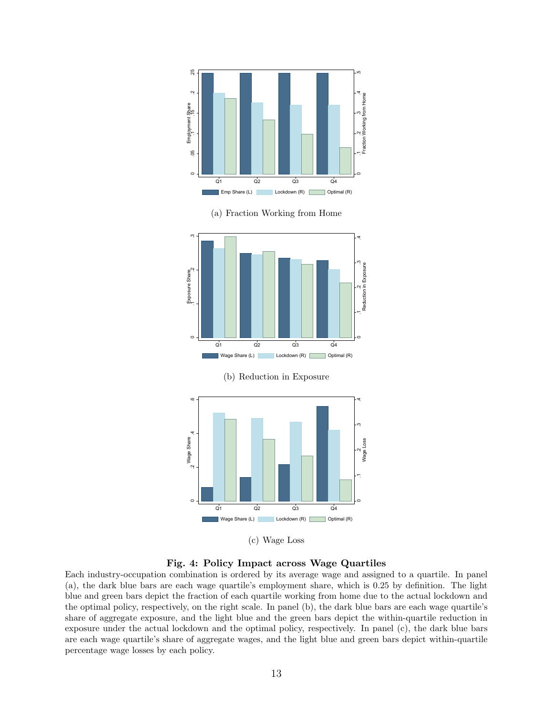

(a) Fraction Working from Home





(c) Wage Loss

<span id="page-13-0"></span>Fig. 4: Policy Impact across Wage Quartiles

Each industry-occupation combination is ordered by its average wage and assigned to a quartile. In panel (a), the dark blue bars are each wage quartile's employment share, which is 0.25 by definition. The light blue and green bars depict the fraction of each quartile working from home due to the actual lockdown and the optimal policy, respectively, on the right scale. In panel (b), the dark blue bars are each wage quartile's share of aggregate exposure, and the light blue and the green bars depict the within-quartile reduction in exposure under the actual lockdown and the optimal policy, respectively. In panel (c), the dark blue bars are each wage quartile's share of aggregate wages, and the light blue and green bars depict within-quartile percentage wage losses by each policy.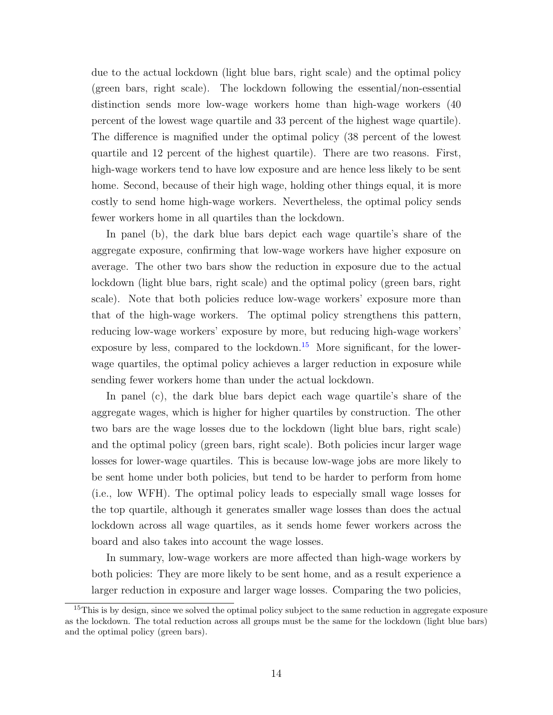due to the actual lockdown (light blue bars, right scale) and the optimal policy (green bars, right scale). The lockdown following the essential/non-essential distinction sends more low-wage workers home than high-wage workers (40 percent of the lowest wage quartile and 33 percent of the highest wage quartile). The difference is magnified under the optimal policy (38 percent of the lowest quartile and 12 percent of the highest quartile). There are two reasons. First, high-wage workers tend to have low exposure and are hence less likely to be sent home. Second, because of their high wage, holding other things equal, it is more costly to send home high-wage workers. Nevertheless, the optimal policy sends fewer workers home in all quartiles than the lockdown.

In panel (b), the dark blue bars depict each wage quartile's share of the aggregate exposure, confirming that low-wage workers have higher exposure on average. The other two bars show the reduction in exposure due to the actual lockdown (light blue bars, right scale) and the optimal policy (green bars, right scale). Note that both policies reduce low-wage workers' exposure more than that of the high-wage workers. The optimal policy strengthens this pattern, reducing low-wage workers' exposure by more, but reducing high-wage workers' exposure by less, compared to the lockdown.<sup>[15](#page-14-0)</sup> More significant, for the lowerwage quartiles, the optimal policy achieves a larger reduction in exposure while sending fewer workers home than under the actual lockdown.

In panel (c), the dark blue bars depict each wage quartile's share of the aggregate wages, which is higher for higher quartiles by construction. The other two bars are the wage losses due to the lockdown (light blue bars, right scale) and the optimal policy (green bars, right scale). Both policies incur larger wage losses for lower-wage quartiles. This is because low-wage jobs are more likely to be sent home under both policies, but tend to be harder to perform from home (i.e., low WFH). The optimal policy leads to especially small wage losses for the top quartile, although it generates smaller wage losses than does the actual lockdown across all wage quartiles, as it sends home fewer workers across the board and also takes into account the wage losses.

In summary, low-wage workers are more affected than high-wage workers by both policies: They are more likely to be sent home, and as a result experience a larger reduction in exposure and larger wage losses. Comparing the two policies,

<span id="page-14-0"></span><sup>&</sup>lt;sup>15</sup>This is by design, since we solved the optimal policy subject to the same reduction in aggregate exposure as the lockdown. The total reduction across all groups must be the same for the lockdown (light blue bars) and the optimal policy (green bars).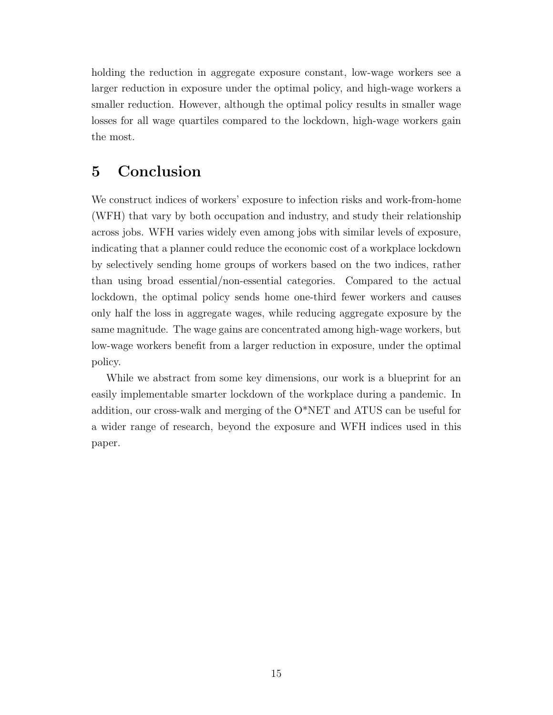holding the reduction in aggregate exposure constant, low-wage workers see a larger reduction in exposure under the optimal policy, and high-wage workers a smaller reduction. However, although the optimal policy results in smaller wage losses for all wage quartiles compared to the lockdown, high-wage workers gain the most.

## 5 Conclusion

We construct indices of workers' exposure to infection risks and work-from-home (WFH) that vary by both occupation and industry, and study their relationship across jobs. WFH varies widely even among jobs with similar levels of exposure, indicating that a planner could reduce the economic cost of a workplace lockdown by selectively sending home groups of workers based on the two indices, rather than using broad essential/non-essential categories. Compared to the actual lockdown, the optimal policy sends home one-third fewer workers and causes only half the loss in aggregate wages, while reducing aggregate exposure by the same magnitude. The wage gains are concentrated among high-wage workers, but low-wage workers benefit from a larger reduction in exposure, under the optimal policy.

While we abstract from some key dimensions, our work is a blueprint for an easily implementable smarter lockdown of the workplace during a pandemic. In addition, our cross-walk and merging of the O\*NET and ATUS can be useful for a wider range of research, beyond the exposure and WFH indices used in this paper.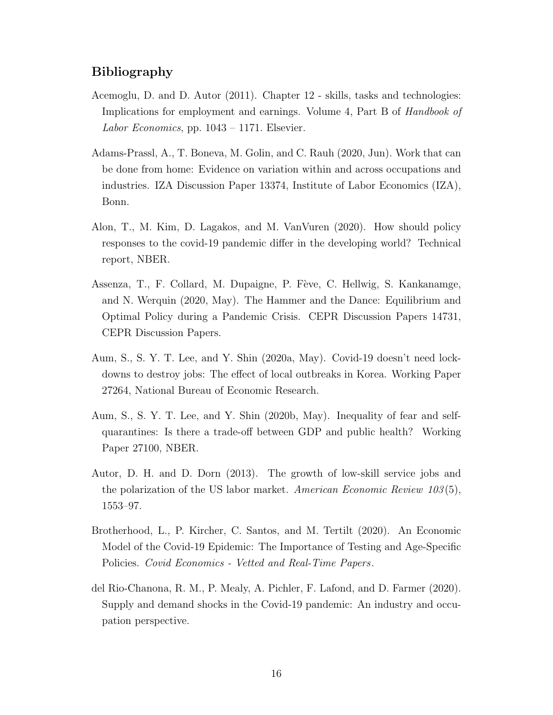### Bibliography

- <span id="page-16-0"></span>Acemoglu, D. and D. Autor (2011). Chapter 12 - skills, tasks and technologies: Implications for employment and earnings. Volume 4, Part B of Handbook of Labor Economics, pp.  $1043 - 1171$ . Elsevier.
- <span id="page-16-2"></span>Adams-Prassl, A., T. Boneva, M. Golin, and C. Rauh (2020, Jun). Work that can be done from home: Evidence on variation within and across occupations and industries. IZA Discussion Paper 13374, Institute of Labor Economics (IZA), Bonn.
- <span id="page-16-7"></span>Alon, T., M. Kim, D. Lagakos, and M. VanVuren (2020). How should policy responses to the covid-19 pandemic differ in the developing world? Technical report, NBER.
- <span id="page-16-6"></span>Assenza, T., F. Collard, M. Dupaigne, P. Fève, C. Hellwig, S. Kankanamge, and N. Werquin (2020, May). The Hammer and the Dance: Equilibrium and Optimal Policy during a Pandemic Crisis. CEPR Discussion Papers 14731, CEPR Discussion Papers.
- <span id="page-16-3"></span>Aum, S., S. Y. T. Lee, and Y. Shin (2020a, May). Covid-19 doesn't need lockdowns to destroy jobs: The effect of local outbreaks in Korea. Working Paper 27264, National Bureau of Economic Research.
- <span id="page-16-5"></span>Aum, S., S. Y. T. Lee, and Y. Shin (2020b, May). Inequality of fear and selfquarantines: Is there a trade-off between GDP and public health? Working Paper 27100, NBER.
- <span id="page-16-1"></span>Autor, D. H. and D. Dorn (2013). The growth of low-skill service jobs and the polarization of the US labor market. American Economic Review  $103(5)$ , 1553–97.
- <span id="page-16-8"></span>Brotherhood, L., P. Kircher, C. Santos, and M. Tertilt (2020). An Economic Model of the Covid-19 Epidemic: The Importance of Testing and Age-Specific Policies. Covid Economics - Vetted and Real-Time Papers.
- <span id="page-16-4"></span>del Rio-Chanona, R. M., P. Mealy, A. Pichler, F. Lafond, and D. Farmer (2020). Supply and demand shocks in the Covid-19 pandemic: An industry and occupation perspective.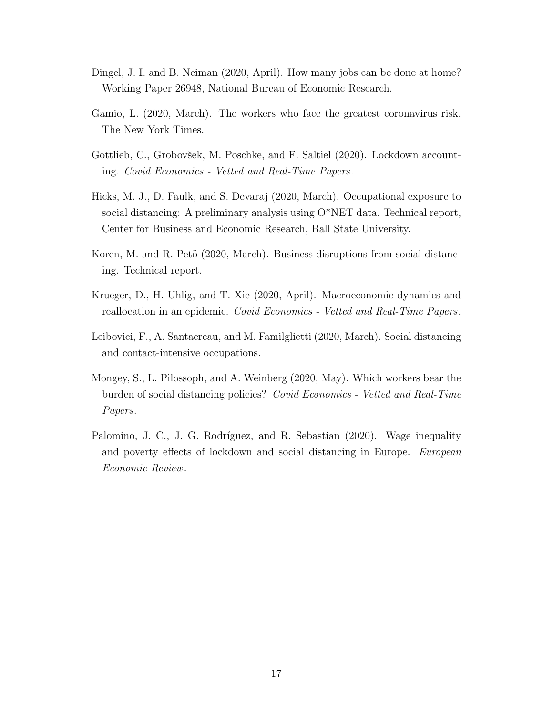- <span id="page-17-3"></span>Dingel, J. I. and B. Neiman (2020, April). How many jobs can be done at home? Working Paper 26948, National Bureau of Economic Research.
- <span id="page-17-0"></span>Gamio, L. (2020, March). The workers who face the greatest coronavirus risk. The New York Times.
- <span id="page-17-7"></span>Gottlieb, C., Grobovšek, M. Poschke, and F. Saltiel (2020). Lockdown accounting. Covid Economics - Vetted and Real-Time Papers.
- <span id="page-17-6"></span>Hicks, M. J., D. Faulk, and S. Devaraj (2020, March). Occupational exposure to social distancing: A preliminary analysis using O\*NET data. Technical report, Center for Business and Economic Research, Ball State University.
- <span id="page-17-5"></span>Koren, M. and R. Petö (2020, March). Business disruptions from social distancing. Technical report.
- <span id="page-17-8"></span>Krueger, D., H. Uhlig, and T. Xie (2020, April). Macroeconomic dynamics and reallocation in an epidemic. Covid Economics - Vetted and Real-Time Papers.
- <span id="page-17-1"></span>Leibovici, F., A. Santacreau, and M. Familglietti (2020, March). Social distancing and contact-intensive occupations.
- <span id="page-17-2"></span>Mongey, S., L. Pilossoph, and A. Weinberg (2020, May). Which workers bear the burden of social distancing policies? Covid Economics - Vetted and Real-Time Papers.
- <span id="page-17-4"></span>Palomino, J. C., J. G. Rodríguez, and R. Sebastian (2020). Wage inequality and poverty effects of lockdown and social distancing in Europe. European Economic Review.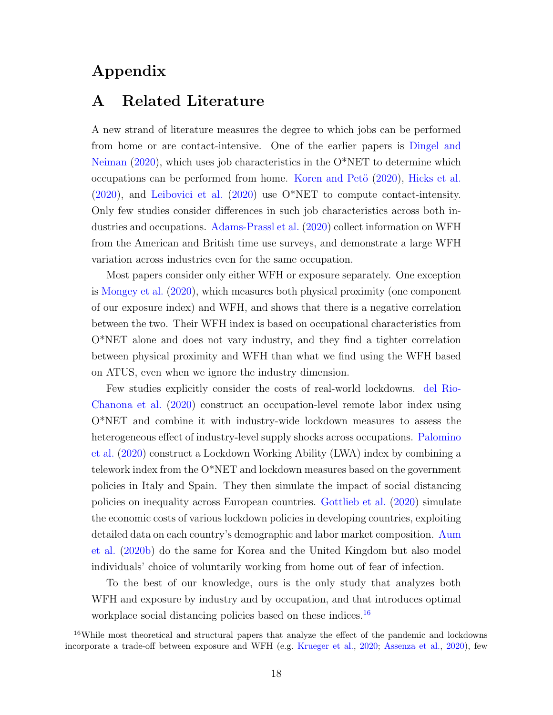## Appendix

## A Related Literature

A new strand of literature measures the degree to which jobs can be performed from home or are contact-intensive. One of the earlier papers is [Dingel and](#page-17-3) [Neiman](#page-17-3) [\(2020\)](#page-17-3), which uses job characteristics in the O\*NET to determine which occupations can be performed from home. Koren and Petö  $(2020)$ , [Hicks et al.](#page-17-6) [\(2020\)](#page-17-6), and [Leibovici et al.](#page-17-1) [\(2020\)](#page-17-1) use O\*NET to compute contact-intensity. Only few studies consider differences in such job characteristics across both industries and occupations. [Adams-Prassl et al.](#page-16-2) [\(2020\)](#page-16-2) collect information on WFH from the American and British time use surveys, and demonstrate a large WFH variation across industries even for the same occupation.

Most papers consider only either WFH or exposure separately. One exception is [Mongey et al.](#page-17-2) [\(2020\)](#page-17-2), which measures both physical proximity (one component of our exposure index) and WFH, and shows that there is a negative correlation between the two. Their WFH index is based on occupational characteristics from O\*NET alone and does not vary industry, and they find a tighter correlation between physical proximity and WFH than what we find using the WFH based on ATUS, even when we ignore the industry dimension.

Few studies explicitly consider the costs of real-world lockdowns. [del Rio-](#page-16-4)[Chanona et al.](#page-16-4) [\(2020\)](#page-16-4) construct an occupation-level remote labor index using O\*NET and combine it with industry-wide lockdown measures to assess the heterogeneous effect of industry-level supply shocks across occupations. [Palomino](#page-17-4) [et al.](#page-17-4) [\(2020\)](#page-17-4) construct a Lockdown Working Ability (LWA) index by combining a telework index from the O\*NET and lockdown measures based on the government policies in Italy and Spain. They then simulate the impact of social distancing policies on inequality across European countries. [Gottlieb et al.](#page-17-7) [\(2020\)](#page-17-7) simulate the economic costs of various lockdown policies in developing countries, exploiting detailed data on each country's demographic and labor market composition. [Aum](#page-16-5) [et al.](#page-16-5) [\(2020b\)](#page-16-5) do the same for Korea and the United Kingdom but also model individuals' choice of voluntarily working from home out of fear of infection.

To the best of our knowledge, ours is the only study that analyzes both WFH and exposure by industry and by occupation, and that introduces optimal workplace social distancing policies based on these indices.<sup>[16](#page-18-0)</sup>

<span id="page-18-0"></span><sup>16</sup>While most theoretical and structural papers that analyze the effect of the pandemic and lockdowns incorporate a trade-off between exposure and WFH (e.g. [Krueger et al.,](#page-17-8) [2020;](#page-17-8) [Assenza et al.,](#page-16-6) [2020\)](#page-16-6), few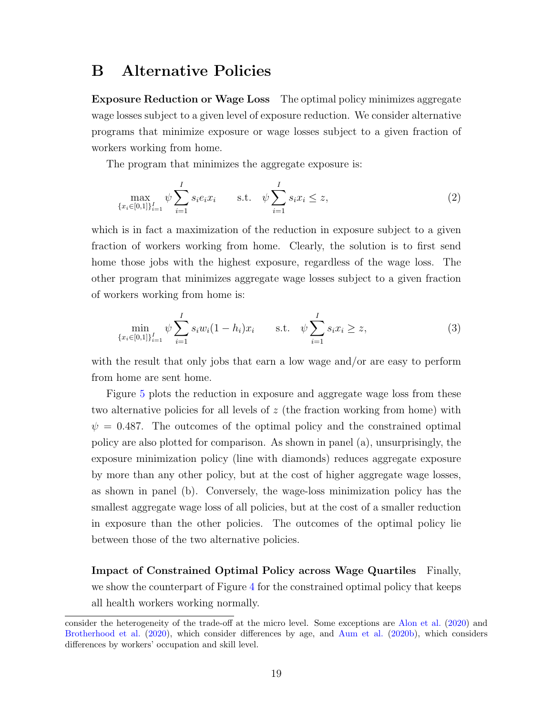## B Alternative Policies

Exposure Reduction or Wage Loss The optimal policy minimizes aggregate wage losses subject to a given level of exposure reduction. We consider alternative programs that minimize exposure or wage losses subject to a given fraction of workers working from home.

The program that minimizes the aggregate exposure is:

$$
\max_{\{x_i \in [0,1]\}_{i=1}^I} \psi \sum_{i=1}^I s_i e_i x_i \qquad \text{s.t.} \quad \psi \sum_{i=1}^I s_i x_i \le z,
$$
\n
$$
(2)
$$

which is in fact a maximization of the reduction in exposure subject to a given fraction of workers working from home. Clearly, the solution is to first send home those jobs with the highest exposure, regardless of the wage loss. The other program that minimizes aggregate wage losses subject to a given fraction of workers working from home is:

$$
\min_{\{x_i \in [0,1]\}_{i=1}^I} \psi \sum_{i=1}^I s_i w_i (1 - h_i) x_i \quad \text{s.t.} \quad \psi \sum_{i=1}^I s_i x_i \ge z,
$$
\n(3)

with the result that only jobs that earn a low wage and/or are easy to perform from home are sent home.

Figure [5](#page-20-1) plots the reduction in exposure and aggregate wage loss from these two alternative policies for all levels of  $z$  (the fraction working from home) with  $\psi = 0.487$ . The outcomes of the optimal policy and the constrained optimal policy are also plotted for comparison. As shown in panel (a), unsurprisingly, the exposure minimization policy (line with diamonds) reduces aggregate exposure by more than any other policy, but at the cost of higher aggregate wage losses, as shown in panel (b). Conversely, the wage-loss minimization policy has the smallest aggregate wage loss of all policies, but at the cost of a smaller reduction in exposure than the other policies. The outcomes of the optimal policy lie between those of the two alternative policies.

Impact of Constrained Optimal Policy across Wage Quartiles Finally, we show the counterpart of Figure [4](#page-13-0) for the constrained optimal policy that keeps all health workers working normally.

consider the heterogeneity of the trade-off at the micro level. Some exceptions are [Alon et al.](#page-16-7) [\(2020\)](#page-16-7) and [Brotherhood et al.](#page-16-8) [\(2020\)](#page-16-8), which consider differences by age, and [Aum et al.](#page-16-5) [\(2020b\)](#page-16-5), which considers differences by workers' occupation and skill level.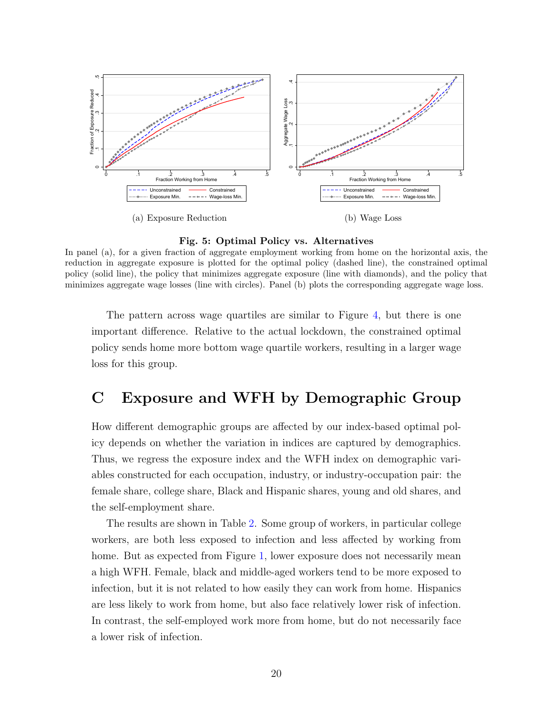

<span id="page-20-1"></span>Fig. 5: Optimal Policy vs. Alternatives

In panel (a), for a given fraction of aggregate employment working from home on the horizontal axis, the reduction in aggregate exposure is plotted for the optimal policy (dashed line), the constrained optimal policy (solid line), the policy that minimizes aggregate exposure (line with diamonds), and the policy that minimizes aggregate wage losses (line with circles). Panel (b) plots the corresponding aggregate wage loss.

The pattern across wage quartiles are similar to Figure [4,](#page-13-0) but there is one important difference. Relative to the actual lockdown, the constrained optimal policy sends home more bottom wage quartile workers, resulting in a larger wage loss for this group.

# <span id="page-20-0"></span>C Exposure and WFH by Demographic Group

How different demographic groups are affected by our index-based optimal policy depends on whether the variation in indices are captured by demographics. Thus, we regress the exposure index and the WFH index on demographic variables constructed for each occupation, industry, or industry-occupation pair: the female share, college share, Black and Hispanic shares, young and old shares, and the self-employment share.

The results are shown in Table [2.](#page-22-0) Some group of workers, in particular college workers, are both less exposed to infection and less affected by working from home. But as expected from Figure [1,](#page-7-0) lower exposure does not necessarily mean a high WFH. Female, black and middle-aged workers tend to be more exposed to infection, but it is not related to how easily they can work from home. Hispanics are less likely to work from home, but also face relatively lower risk of infection. In contrast, the self-employed work more from home, but do not necessarily face a lower risk of infection.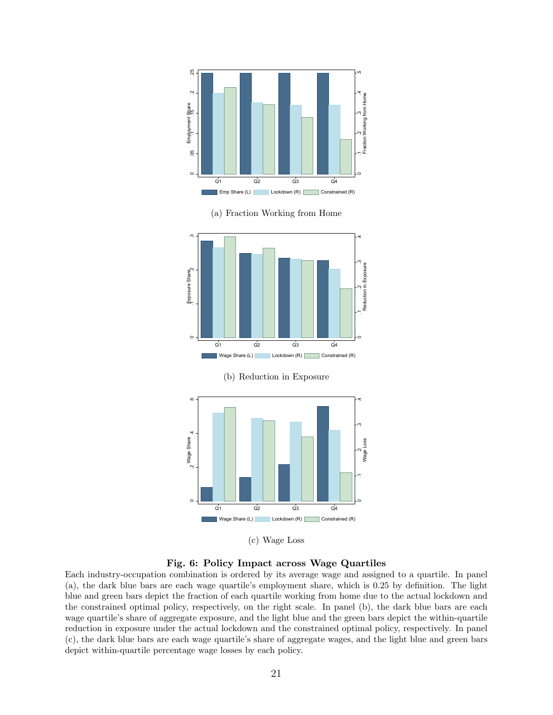

(c) Wage Loss

Fig. 6: Policy Impact across Wage Quartiles

Each industry-occupation combination is ordered by its average wage and assigned to a quartile. In panel (a), the dark blue bars are each wage quartile's employment share, which is 0.25 by definition. The light blue and green bars depict the fraction of each quartile working from home due to the actual lockdown and the constrained optimal policy, respectively, on the right scale. In panel (b), the dark blue bars are each wage quartile's share of aggregate exposure, and the light blue and the green bars depict the within-quartile reduction in exposure under the actual lockdown and the constrained optimal policy, respectively. In panel (c), the dark blue bars are each wage quartile's share of aggregate wages, and the light blue and green bars depict within-quartile percentage wage losses by each policy.